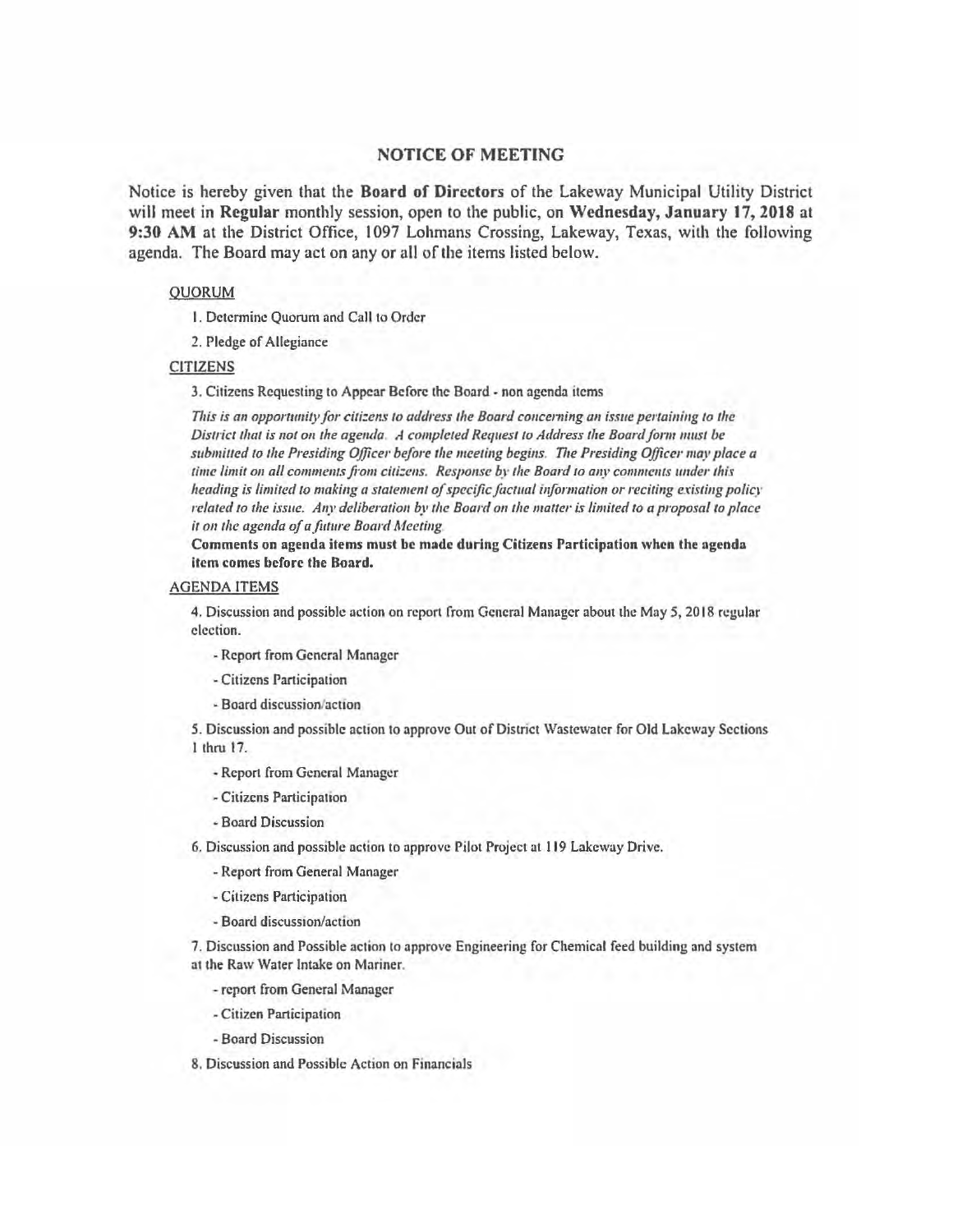## NOTICE OF MEETING

Notice is hereby given that the Board of Directors of the Lakeway Municipal Utility District will meet in Regular monthly session, open to the public, on Wednesday, January 17, 2018 at 9:30 AM at the District Office, 1097 Lohmans Crossing, Lakeway, Texas, with the following agenda. The Board may act on any or all of the items listed below.

## **OUORUM**

I. Detennine Quorum and Call to Order

2. Pledge of Allegiance

## CITIZENS

3. Citizens Requesting to Appear Before the Board· non agenda items

*n1is is an opportunity for citi:ens to address the Board conceming an issue pertaining to the District that is not on the agenda A completed Request to Address the Board form must be*  submitted to the Presiding Officer before the meeting begins. The Presiding Officer may place a *time limit on all comments from citizens. Response by the Board to any comments under this heading is limited to making a statement of specific factual information or reciting existing policy related to the issue. Any deliberation by the Board on the matter is limited to a proposal to place it* 011 *the agenda of a fllture Board Meeting* 

Comments on agenda items must be made during Citizens Participation when the agenda item comes before the Board.

## AGENDA ITEMS

4. Discussion and possible action on report from General Manager about the May 5, 2018 regular election.

• Report from General Manager

- Citizens Participation
- Board discussion/action

*5.* Discussion and possible action to approve Out of District Wastewater for Old Lakeway Sections I thru 17.

- Report from General Manager
- Citizens Participation
- -Board Discussion

6. Discussion and possible action to approve Pilot Project at I 19 Lakeway Drive.

- Report from General Manager
- -Citizens Participation
- Board discussion/action

7. Discussion and Possible action to approve Engineering for Chemical feed building and system at the Raw Water Intake on Mariner.

- report from General Manager

- Citizen Participation

- Board Discussion

8. Discussion and Possible Action on Financials